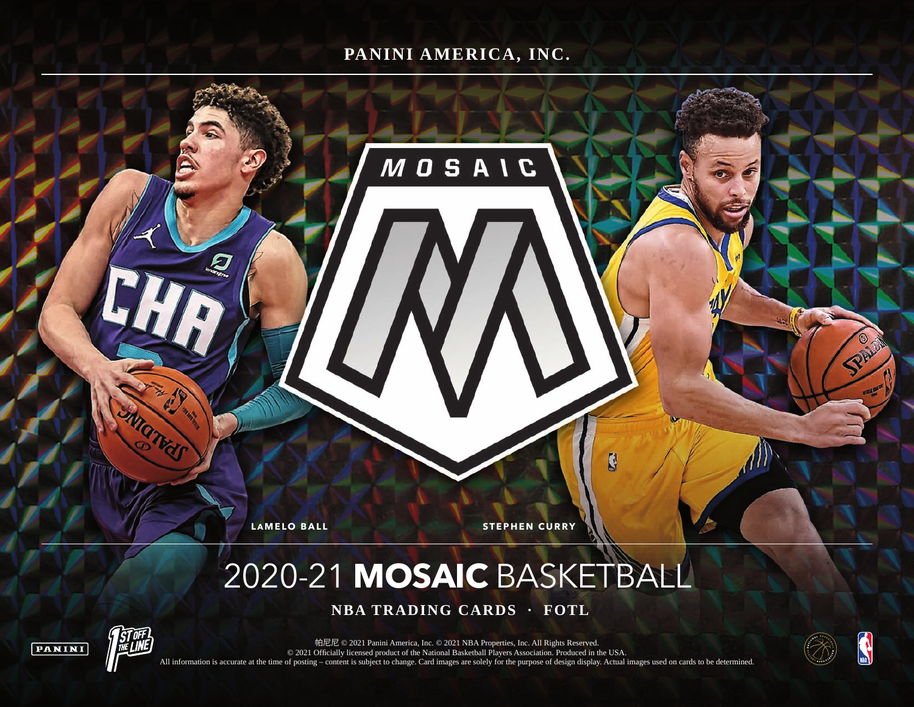## **PANINI AMERICA, INC.**

**MOSAIC** 

W

**LAMELO BALL STEPHEN CURRY** 

# 2020-21 **MOSAIC** BASKETBALL

 **NBA TRADING CARDS · FOTL**





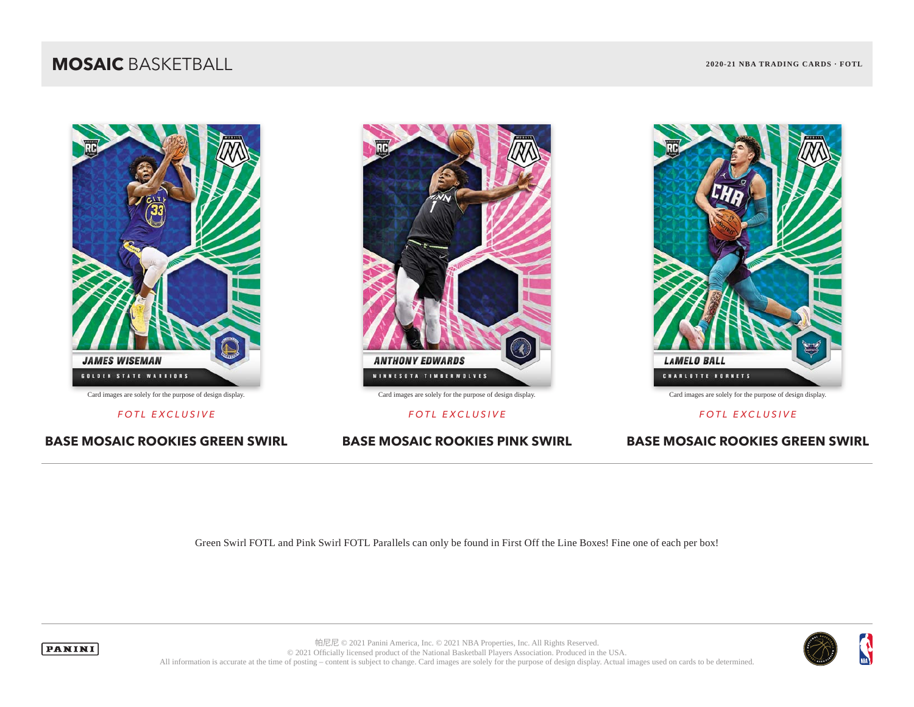## **MOSAIC** BASKETBALL **2020-21 NBA TRADING CARDS · FOTL**



**BASE MOSAIC ROOKIES GREEN SWIRL BASE MOSAIC ROOKIES PINK SWIRL BASE MOSAIC ROOKIES GREEN SWIRL**



*FOTL EXCLUSIVE FOTL EXCLUSIVE FOTL EXCLUSIVE*



Green Swirl FOTL and Pink Swirl FOTL Parallels can only be found in First Off the Line Boxes! Fine one of each per box!



**PANINI** 

帕尼尼 © 2021 Panini America, Inc. © 2021 NBA Properties, Inc. All Rights Reserved. © 2021 Officially licensed product of the National Basketball Players Association. Produced in the USA. All information is accurate at the time of posting – content is subject to change. Card images are solely for the purpose of design display. Actual images used on cards to be determined.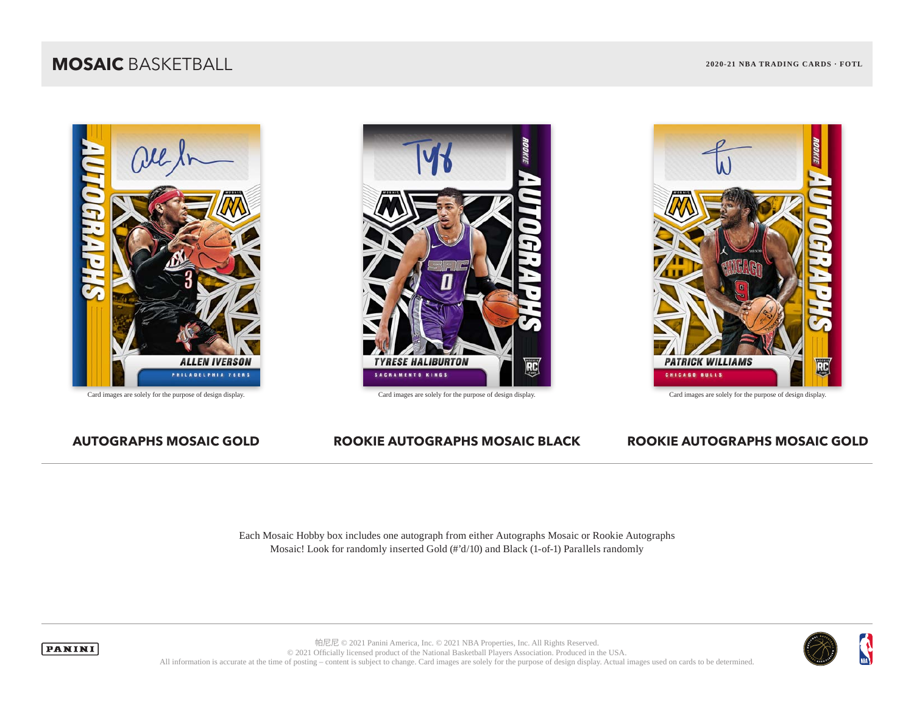## **MOSAIC** BASKETBALL **2020-21 NBA TRADING CARDS · FOTL**









### **AUTOGRAPHS MOSAIC GOLD ROOKIE AUTOGRAPHS MOSAIC BLACK ROOKIE AUTOGRAPHS MOSAIC GOLD**

Each Mosaic Hobby box includes one autograph from either Autographs Mosaic or Rookie Autographs Mosaic! Look for randomly inserted Gold (#'d/10) and Black (1-of-1) Parallels randomly





帕尼尼 © 2021 Panini America, Inc. © 2021 NBA Properties, Inc. All Rights Reserved. © 2021 Officially licensed product of the National Basketball Players Association. Produced in the USA. All information is accurate at the time of posting – content is subject to change. Card images are solely for the purpose of design display. Actual images used on cards to be determined.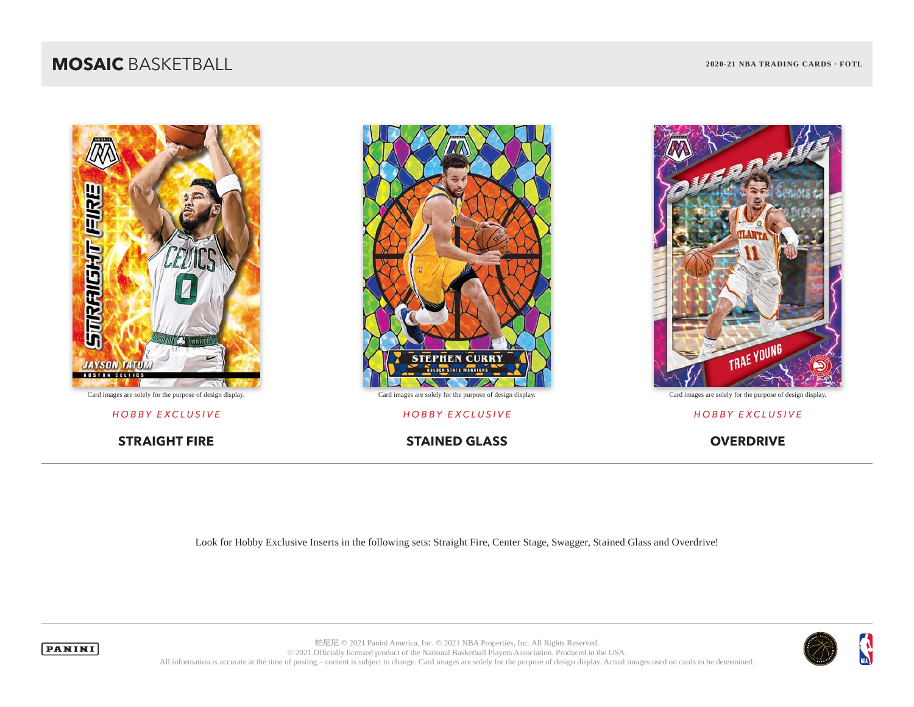## **MOSAIC** BASKETBALL **2020-21 NBA TRADING CARDS · FOTL**





*HOBBY EXCLUSIVE HOBBY EXCLUSIVE HOBBY EXCLUSIVE*

**STRAIGHT FIRE STAINED GLASS OVERDRIVE** 



Look for Hobby Exclusive Inserts in the following sets: Straight Fire, Center Stage, Swagger, Stained Glass and Overdrive!



**PANINI** 

帕尼尼 © 2021 Panini America, Inc. © 2021 NBA Properties, Inc. All Rights Reserved. © 2021 Officially licensed product of the National Basketball Players Association. Produced in the USA. All information is accurate at the time of posting – content is subject to change. Card images are solely for the purpose of design display. Actual images used on cards to be determined.